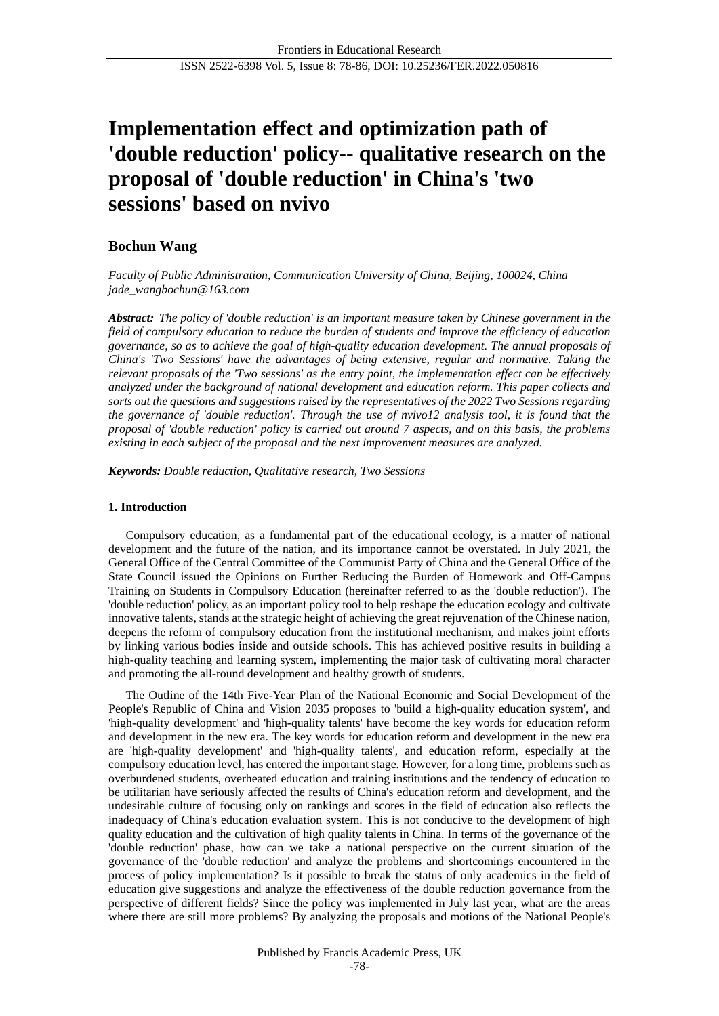# **Implementation effect and optimization path of 'double reduction' policy-- qualitative research on the proposal of 'double reduction' in China's 'two sessions' based on nvivo**

# **Bochun Wang**

*Faculty of Public Administration, Communication University of China, Beijing, 100024, China jade\_wangbochun@163.com*

*Abstract: The policy of 'double reduction' is an important measure taken by Chinese government in the field of compulsory education to reduce the burden of students and improve the efficiency of education governance, so as to achieve the goal of high-quality education development. The annual proposals of China's 'Two Sessions' have the advantages of being extensive, regular and normative. Taking the relevant proposals of the 'Two sessions' as the entry point, the implementation effect can be effectively analyzed under the background of national development and education reform. This paper collects and sorts out the questions and suggestions raised by the representatives of the 2022 Two Sessions regarding the governance of 'double reduction'. Through the use of nvivo12 analysis tool, it is found that the proposal of 'double reduction' policy is carried out around 7 aspects, and on this basis, the problems existing in each subject of the proposal and the next improvement measures are analyzed.*

*Keywords: Double reduction, Qualitative research, Two Sessions*

## **1. Introduction**

Compulsory education, as a fundamental part of the educational ecology, is a matter of national development and the future of the nation, and its importance cannot be overstated. In July 2021, the General Office of the Central Committee of the Communist Party of China and the General Office of the State Council issued the Opinions on Further Reducing the Burden of Homework and Off-Campus Training on Students in Compulsory Education (hereinafter referred to as the 'double reduction'). The 'double reduction' policy, as an important policy tool to help reshape the education ecology and cultivate innovative talents, stands at the strategic height of achieving the great rejuvenation of the Chinese nation, deepens the reform of compulsory education from the institutional mechanism, and makes joint efforts by linking various bodies inside and outside schools. This has achieved positive results in building a high-quality teaching and learning system, implementing the major task of cultivating moral character and promoting the all-round development and healthy growth of students.

The Outline of the 14th Five-Year Plan of the National Economic and Social Development of the People's Republic of China and Vision 2035 proposes to 'build a high-quality education system', and 'high-quality development' and 'high-quality talents' have become the key words for education reform and development in the new era. The key words for education reform and development in the new era are 'high-quality development' and 'high-quality talents', and education reform, especially at the compulsory education level, has entered the important stage. However, for a long time, problems such as overburdened students, overheated education and training institutions and the tendency of education to be utilitarian have seriously affected the results of China's education reform and development, and the undesirable culture of focusing only on rankings and scores in the field of education also reflects the inadequacy of China's education evaluation system. This is not conducive to the development of high quality education and the cultivation of high quality talents in China. In terms of the governance of the 'double reduction' phase, how can we take a national perspective on the current situation of the governance of the 'double reduction' and analyze the problems and shortcomings encountered in the process of policy implementation? Is it possible to break the status of only academics in the field of education give suggestions and analyze the effectiveness of the double reduction governance from the perspective of different fields? Since the policy was implemented in July last year, what are the areas where there are still more problems? By analyzing the proposals and motions of the National People's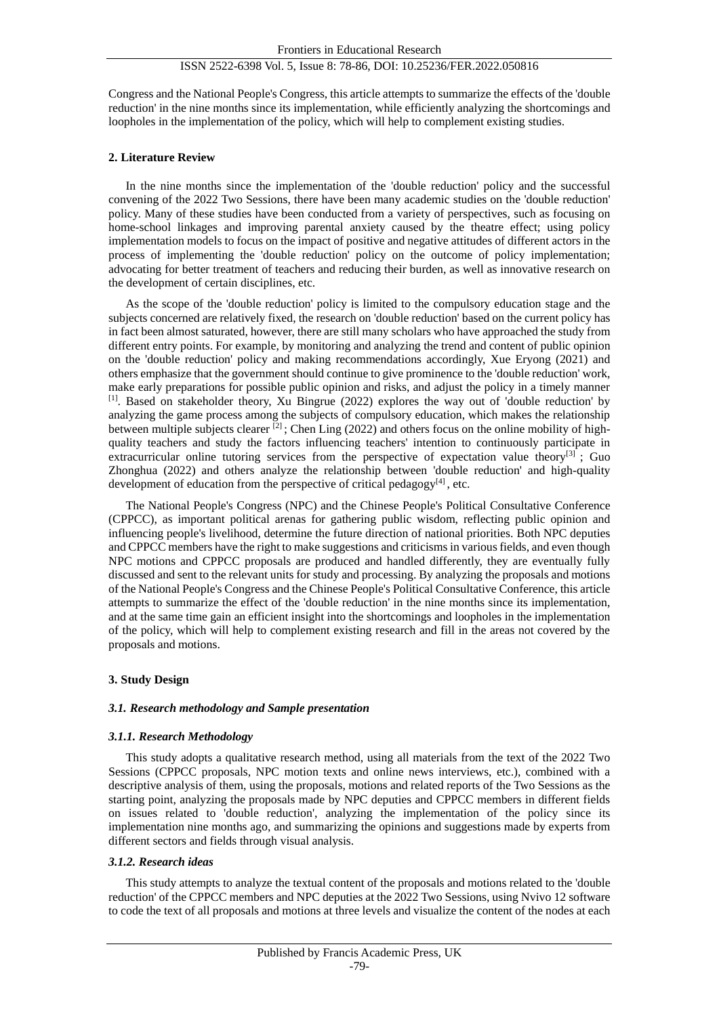Congress and the National People's Congress, this article attempts to summarize the effects of the 'double reduction' in the nine months since its implementation, while efficiently analyzing the shortcomings and loopholes in the implementation of the policy, which will help to complement existing studies.

## **2. Literature Review**

In the nine months since the implementation of the 'double reduction' policy and the successful convening of the 2022 Two Sessions, there have been many academic studies on the 'double reduction' policy. Many of these studies have been conducted from a variety of perspectives, such as focusing on home-school linkages and improving parental anxiety caused by the theatre effect; using policy implementation models to focus on the impact of positive and negative attitudes of different actors in the process of implementing the 'double reduction' policy on the outcome of policy implementation; advocating for better treatment of teachers and reducing their burden, as well as innovative research on the development of certain disciplines, etc.

As the scope of the 'double reduction' policy is limited to the compulsory education stage and the subjects concerned are relatively fixed, the research on 'double reduction' based on the current policy has in fact been almost saturated, however, there are still many scholars who have approached the study from different entry points. For example, by monitoring and analyzing the trend and content of public opinion on the 'double reduction' policy and making recommendations accordingly, Xue Eryong (2021) and others emphasize that the government should continue to give prominence to the 'double reduction' work, make early preparations for possible public opinion and risks, and adjust the policy in a timely manner [1] . Based on stakeholder theory, Xu Bingrue (2022) explores the way out of 'double reduction' by analyzing the game process among the subjects of compulsory education, which makes the relationship between multiple subjects clearer <sup>[2]</sup>; Chen Ling (2022) and others focus on the online mobility of highquality teachers and study the factors influencing teachers' intention to continuously participate in extracurricular online tutoring services from the perspective of expectation value theory<sup>[3]</sup> ; Guo Zhonghua (2022) and others analyze the relationship between 'double reduction' and high-quality development of education from the perspective of critical pedagogy $[4]$ , etc.

The National People's Congress (NPC) and the Chinese People's Political Consultative Conference (CPPCC), as important political arenas for gathering public wisdom, reflecting public opinion and influencing people's livelihood, determine the future direction of national priorities. Both NPC deputies and CPPCC members have the right to make suggestions and criticisms in various fields, and even though NPC motions and CPPCC proposals are produced and handled differently, they are eventually fully discussed and sent to the relevant units for study and processing. By analyzing the proposals and motions of the National People's Congress and the Chinese People's Political Consultative Conference, this article attempts to summarize the effect of the 'double reduction' in the nine months since its implementation, and at the same time gain an efficient insight into the shortcomings and loopholes in the implementation of the policy, which will help to complement existing research and fill in the areas not covered by the proposals and motions.

## **3. Study Design**

## *3.1. Research methodology and Sample presentation*

## *3.1.1. Research Methodology*

This study adopts a qualitative research method, using all materials from the text of the 2022 Two Sessions (CPPCC proposals, NPC motion texts and online news interviews, etc.), combined with a descriptive analysis of them, using the proposals, motions and related reports of the Two Sessions as the starting point, analyzing the proposals made by NPC deputies and CPPCC members in different fields on issues related to 'double reduction', analyzing the implementation of the policy since its implementation nine months ago, and summarizing the opinions and suggestions made by experts from different sectors and fields through visual analysis.

## *3.1.2. Research ideas*

This study attempts to analyze the textual content of the proposals and motions related to the 'double reduction' of the CPPCC members and NPC deputies at the 2022 Two Sessions, using Nvivo 12 software to code the text of all proposals and motions at three levels and visualize the content of the nodes at each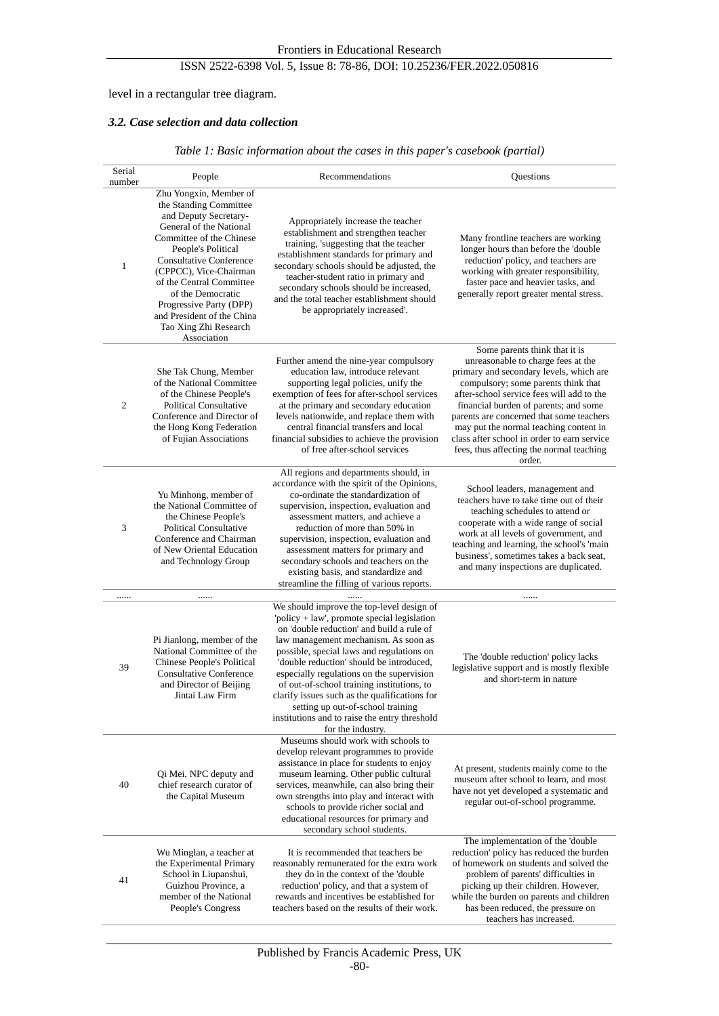# level in a rectangular tree diagram.

# *3.2. Case selection and data collection*

|  |  | Table 1: Basic information about the cases in this paper's casebook (partial) |  |
|--|--|-------------------------------------------------------------------------------|--|
|  |  |                                                                               |  |

| Serial<br>number | People                                                                                                                                                                                                                                                                                                                                                               | Recommendations                                                                                                                                                                                                                                                                                                                                                                                                                                                                                                               | Questions                                                                                                                                                                                                                                                                                                                                                                                                                              |  |
|------------------|----------------------------------------------------------------------------------------------------------------------------------------------------------------------------------------------------------------------------------------------------------------------------------------------------------------------------------------------------------------------|-------------------------------------------------------------------------------------------------------------------------------------------------------------------------------------------------------------------------------------------------------------------------------------------------------------------------------------------------------------------------------------------------------------------------------------------------------------------------------------------------------------------------------|----------------------------------------------------------------------------------------------------------------------------------------------------------------------------------------------------------------------------------------------------------------------------------------------------------------------------------------------------------------------------------------------------------------------------------------|--|
| 1                | Zhu Yongxin, Member of<br>the Standing Committee<br>and Deputy Secretary-<br>General of the National<br>Committee of the Chinese<br>People's Political<br><b>Consultative Conference</b><br>(CPPCC), Vice-Chairman<br>of the Central Committee<br>of the Democratic<br>Progressive Party (DPP)<br>and President of the China<br>Tao Xing Zhi Research<br>Association | Appropriately increase the teacher<br>establishment and strengthen teacher<br>training, 'suggesting that the teacher<br>establishment standards for primary and<br>secondary schools should be adjusted, the<br>teacher-student ratio in primary and<br>secondary schools should be increased,<br>and the total teacher establishment should<br>be appropriately increased'.                                                                                                                                                  | Many frontline teachers are working<br>longer hours than before the 'double<br>reduction' policy, and teachers are<br>working with greater responsibility,<br>faster pace and heavier tasks, and<br>generally report greater mental stress.                                                                                                                                                                                            |  |
| $\overline{c}$   | She Tak Chung, Member<br>of the National Committee<br>of the Chinese People's<br><b>Political Consultative</b><br>Conference and Director of<br>the Hong Kong Federation<br>of Fujian Associations                                                                                                                                                                   | Further amend the nine-year compulsory<br>education law, introduce relevant<br>supporting legal policies, unify the<br>exemption of fees for after-school services<br>at the primary and secondary education<br>levels nationwide, and replace them with<br>central financial transfers and local<br>financial subsidies to achieve the provision<br>of free after-school services                                                                                                                                            | Some parents think that it is<br>unreasonable to charge fees at the<br>primary and secondary levels, which are<br>compulsory; some parents think that<br>after-school service fees will add to the<br>financial burden of parents; and some<br>parents are concerned that some teachers<br>may put the normal teaching content in<br>class after school in order to earn service<br>fees, thus affecting the normal teaching<br>order. |  |
| 3                | Yu Minhong, member of<br>the National Committee of<br>the Chinese People's<br><b>Political Consultative</b><br>Conference and Chairman<br>of New Oriental Education<br>and Technology Group                                                                                                                                                                          | All regions and departments should, in<br>accordance with the spirit of the Opinions,<br>co-ordinate the standardization of<br>supervision, inspection, evaluation and<br>assessment matters, and achieve a<br>reduction of more than 50% in<br>supervision, inspection, evaluation and<br>assessment matters for primary and<br>secondary schools and teachers on the<br>existing basis, and standardize and<br>streamline the filling of various reports.                                                                   | School leaders, management and<br>teachers have to take time out of their<br>teaching schedules to attend or<br>cooperate with a wide range of social<br>work at all levels of government, and<br>teaching and learning, the school's 'main<br>business', sometimes takes a back seat,<br>and many inspections are duplicated.                                                                                                         |  |
|                  |                                                                                                                                                                                                                                                                                                                                                                      |                                                                                                                                                                                                                                                                                                                                                                                                                                                                                                                               |                                                                                                                                                                                                                                                                                                                                                                                                                                        |  |
| 39               | Pi Jianlong, member of the<br>National Committee of the<br><b>Chinese People's Political</b><br><b>Consultative Conference</b><br>and Director of Beijing<br>Jintai Law Firm                                                                                                                                                                                         | We should improve the top-level design of<br>'policy + law', promote special legislation<br>on 'double reduction' and build a rule of<br>law management mechanism. As soon as<br>possible, special laws and regulations on<br>'double reduction' should be introduced,<br>especially regulations on the supervision<br>of out-of-school training institutions, to<br>clarify issues such as the qualifications for<br>setting up out-of-school training<br>institutions and to raise the entry threshold<br>for the industry. | The 'double reduction' policy lacks<br>legislative support and is mostly flexible<br>and short-term in nature                                                                                                                                                                                                                                                                                                                          |  |
| 40               | Qi Mei, NPC deputy and<br>chief research curator of<br>the Capital Museum                                                                                                                                                                                                                                                                                            | Museums should work with schools to<br>develop relevant programmes to provide<br>assistance in place for students to enjoy<br>museum learning. Other public cultural<br>services, meanwhile, can also bring their<br>own strengths into play and interact with<br>schools to provide richer social and<br>educational resources for primary and<br>secondary school students.                                                                                                                                                 | At present, students mainly come to the<br>museum after school to learn, and most<br>have not yet developed a systematic and<br>regular out-of-school programme.                                                                                                                                                                                                                                                                       |  |
| 41               | Wu Minglan, a teacher at<br>the Experimental Primary<br>School in Liupanshui,<br>Guizhou Province, a<br>member of the National<br>People's Congress                                                                                                                                                                                                                  | It is recommended that teachers be.<br>reasonably remunerated for the extra work<br>they do in the context of the 'double<br>reduction' policy, and that a system of<br>rewards and incentives be established for<br>teachers based on the results of their work.                                                                                                                                                                                                                                                             | The implementation of the 'double<br>reduction' policy has reduced the burden<br>of homework on students and solved the<br>problem of parents' difficulties in<br>picking up their children. However,<br>while the burden on parents and children<br>has been reduced, the pressure on<br>teachers has increased.                                                                                                                      |  |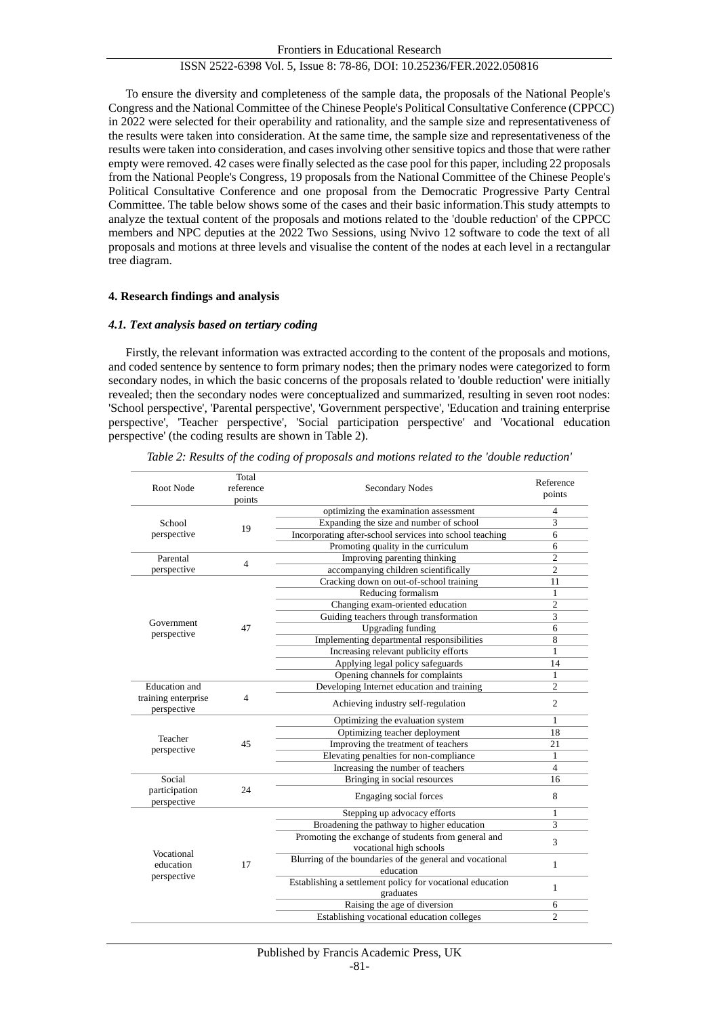To ensure the diversity and completeness of the sample data, the proposals of the National People's Congress and the National Committee of the Chinese People's Political Consultative Conference (CPPCC) in 2022 were selected for their operability and rationality, and the sample size and representativeness of the results were taken into consideration. At the same time, the sample size and representativeness of the results were taken into consideration, and cases involving other sensitive topics and those that were rather empty were removed. 42 cases were finally selected as the case pool for this paper, including 22 proposals from the National People's Congress, 19 proposals from the National Committee of the Chinese People's Political Consultative Conference and one proposal from the Democratic Progressive Party Central Committee. The table below shows some of the cases and their basic information.This study attempts to analyze the textual content of the proposals and motions related to the 'double reduction' of the CPPCC members and NPC deputies at the 2022 Two Sessions, using Nvivo 12 software to code the text of all proposals and motions at three levels and visualise the content of the nodes at each level in a rectangular tree diagram.

#### **4. Research findings and analysis**

#### *4.1. Text analysis based on tertiary coding*

Firstly, the relevant information was extracted according to the content of the proposals and motions, and coded sentence by sentence to form primary nodes; then the primary nodes were categorized to form secondary nodes, in which the basic concerns of the proposals related to 'double reduction' were initially revealed; then the secondary nodes were conceptualized and summarized, resulting in seven root nodes: 'School perspective', 'Parental perspective', 'Government perspective', 'Education and training enterprise perspective', 'Teacher perspective', 'Social participation perspective' and 'Vocational education perspective' (the coding results are shown in Table 2).

| Root Node                              | Total<br>reference<br>points | <b>Secondary Nodes</b>                                                 | Reference<br>points |
|----------------------------------------|------------------------------|------------------------------------------------------------------------|---------------------|
|                                        |                              | optimizing the examination assessment                                  | 4                   |
| School<br>perspective                  | 19                           | Expanding the size and number of school                                | 3                   |
|                                        |                              | Incorporating after-school services into school teaching               | 6                   |
|                                        |                              | Promoting quality in the curriculum                                    | 6                   |
| Parental                               | $\overline{4}$               | Improving parenting thinking                                           | $\overline{c}$      |
| perspective                            |                              | accompanying children scientifically                                   | $\overline{2}$      |
|                                        | 47                           | Cracking down on out-of-school training                                | 11                  |
|                                        |                              | Reducing formalism                                                     | 1                   |
|                                        |                              | Changing exam-oriented education                                       | $\overline{c}$      |
|                                        |                              | Guiding teachers through transformation                                | 3                   |
| Government                             |                              | <b>Upgrading funding</b>                                               | 6                   |
| perspective                            |                              | Implementing departmental responsibilities                             | 8                   |
|                                        |                              | Increasing relevant publicity efforts                                  | 1                   |
|                                        |                              | Applying legal policy safeguards                                       | 14                  |
|                                        |                              | Opening channels for complaints                                        | 1                   |
| <b>Education</b> and                   | 4                            | Developing Internet education and training                             | $\overline{c}$      |
| training enterprise<br>perspective     |                              | Achieving industry self-regulation                                     | 2                   |
|                                        | 45                           | Optimizing the evaluation system                                       | 1                   |
|                                        |                              | Optimizing teacher deployment                                          | 18                  |
| Teacher<br>perspective                 |                              | Improving the treatment of teachers                                    | 21                  |
|                                        |                              | Elevating penalties for non-compliance                                 | 1                   |
|                                        |                              | Increasing the number of teachers                                      | $\overline{4}$      |
| Social                                 | 24                           | Bringing in social resources                                           | 16                  |
| participation<br>perspective           |                              | Engaging social forces                                                 | 8                   |
| Vocational<br>education<br>perspective | 17                           | Stepping up advocacy efforts                                           | 1                   |
|                                        |                              | Broadening the pathway to higher education                             | 3                   |
|                                        |                              | Promoting the exchange of students from general and                    | 3                   |
|                                        |                              | vocational high schools                                                |                     |
|                                        |                              | Blurring of the boundaries of the general and vocational<br>education  | 1                   |
|                                        |                              | Establishing a settlement policy for vocational education<br>graduates | 1                   |
|                                        |                              | Raising the age of diversion                                           | 6                   |
|                                        |                              | Establishing vocational education colleges                             | $\overline{c}$      |
|                                        |                              |                                                                        |                     |

*Table 2: Results of the coding of proposals and motions related to the 'double reduction'*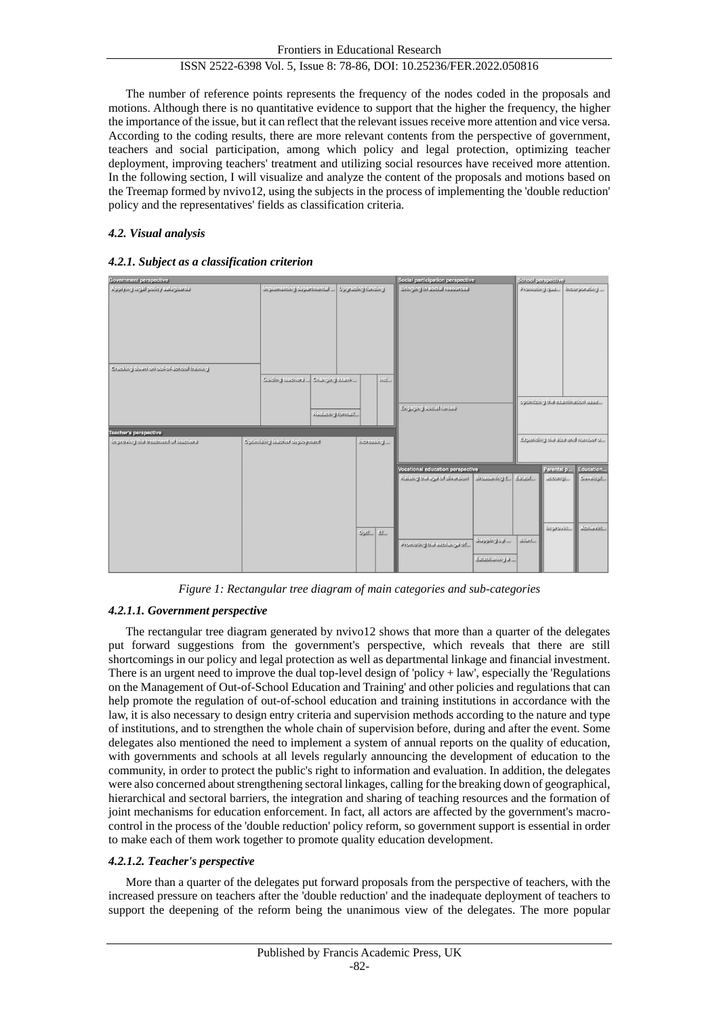The number of reference points represents the frequency of the nodes coded in the proposals and motions. Although there is no quantitative evidence to support that the higher the frequency, the higher the importance of the issue, but it can reflect that the relevant issues receive more attention and vice versa. According to the coding results, there are more relevant contents from the perspective of government, teachers and social participation, among which policy and legal protection, optimizing teacher deployment, improving teachers' treatment and utilizing social resources have received more attention. In the following section, I will visualize and analyze the content of the proposals and motions based on the Treemap formed by nvivo12, using the subjects in the process of implementing the 'double reduction' policy and the representatives' fields as classification criteria.

# *4.2. Visual analysis*

# *4.2.1. Subject as a classification criterion*



*Figure 1: Rectangular tree diagram of main categories and sub-categories*

# *4.2.1.1. Government perspective*

The rectangular tree diagram generated by nvivo12 shows that more than a quarter of the delegates put forward suggestions from the government's perspective, which reveals that there are still shortcomings in our policy and legal protection as well as departmental linkage and financial investment. There is an urgent need to improve the dual top-level design of 'policy + law', especially the 'Regulations on the Management of Out-of-School Education and Training' and other policies and regulations that can help promote the regulation of out-of-school education and training institutions in accordance with the law, it is also necessary to design entry criteria and supervision methods according to the nature and type of institutions, and to strengthen the whole chain of supervision before, during and after the event. Some delegates also mentioned the need to implement a system of annual reports on the quality of education, with governments and schools at all levels regularly announcing the development of education to the community, in order to protect the public's right to information and evaluation. In addition, the delegates were also concerned about strengthening sectoral linkages, calling for the breaking down of geographical, hierarchical and sectoral barriers, the integration and sharing of teaching resources and the formation of joint mechanisms for education enforcement. In fact, all actors are affected by the government's macrocontrol in the process of the 'double reduction' policy reform, so government support is essential in order to make each of them work together to promote quality education development.

## *4.2.1.2. Teacher's perspective*

More than a quarter of the delegates put forward proposals from the perspective of teachers, with the increased pressure on teachers after the 'double reduction' and the inadequate deployment of teachers to support the deepening of the reform being the unanimous view of the delegates. The more popular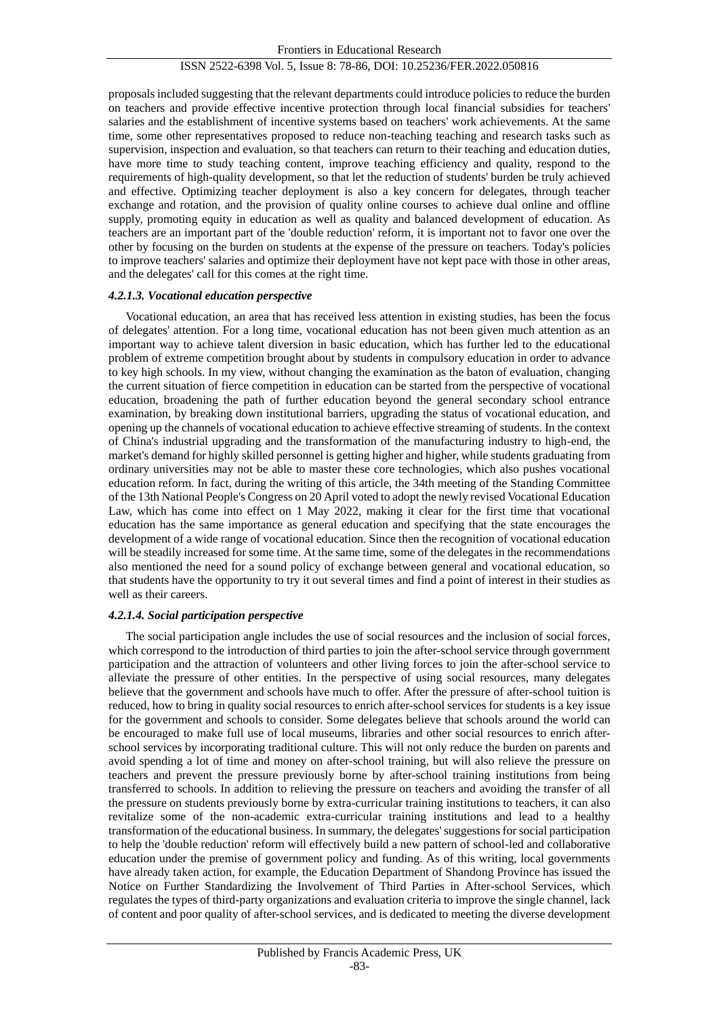proposals included suggesting that the relevant departments could introduce policies to reduce the burden on teachers and provide effective incentive protection through local financial subsidies for teachers' salaries and the establishment of incentive systems based on teachers' work achievements. At the same time, some other representatives proposed to reduce non-teaching teaching and research tasks such as supervision, inspection and evaluation, so that teachers can return to their teaching and education duties, have more time to study teaching content, improve teaching efficiency and quality, respond to the requirements of high-quality development, so that let the reduction of students' burden be truly achieved and effective. Optimizing teacher deployment is also a key concern for delegates, through teacher exchange and rotation, and the provision of quality online courses to achieve dual online and offline supply, promoting equity in education as well as quality and balanced development of education. As teachers are an important part of the 'double reduction' reform, it is important not to favor one over the other by focusing on the burden on students at the expense of the pressure on teachers. Today's policies to improve teachers' salaries and optimize their deployment have not kept pace with those in other areas, and the delegates' call for this comes at the right time.

#### *4.2.1.3. Vocational education perspective*

Vocational education, an area that has received less attention in existing studies, has been the focus of delegates' attention. For a long time, vocational education has not been given much attention as an important way to achieve talent diversion in basic education, which has further led to the educational problem of extreme competition brought about by students in compulsory education in order to advance to key high schools. In my view, without changing the examination as the baton of evaluation, changing the current situation of fierce competition in education can be started from the perspective of vocational education, broadening the path of further education beyond the general secondary school entrance examination, by breaking down institutional barriers, upgrading the status of vocational education, and opening up the channels of vocational education to achieve effective streaming of students. In the context of China's industrial upgrading and the transformation of the manufacturing industry to high-end, the market's demand for highly skilled personnel is getting higher and higher, while students graduating from ordinary universities may not be able to master these core technologies, which also pushes vocational education reform. In fact, during the writing of this article, the 34th meeting of the Standing Committee of the 13th National People's Congress on 20 April voted to adopt the newly revised Vocational Education Law, which has come into effect on 1 May 2022, making it clear for the first time that vocational education has the same importance as general education and specifying that the state encourages the development of a wide range of vocational education. Since then the recognition of vocational education will be steadily increased for some time. At the same time, some of the delegates in the recommendations also mentioned the need for a sound policy of exchange between general and vocational education, so that students have the opportunity to try it out several times and find a point of interest in their studies as well as their careers.

#### *4.2.1.4. Social participation perspective*

The social participation angle includes the use of social resources and the inclusion of social forces, which correspond to the introduction of third parties to join the after-school service through government participation and the attraction of volunteers and other living forces to join the after-school service to alleviate the pressure of other entities. In the perspective of using social resources, many delegates believe that the government and schools have much to offer. After the pressure of after-school tuition is reduced, how to bring in quality social resources to enrich after-school services for students is a key issue for the government and schools to consider. Some delegates believe that schools around the world can be encouraged to make full use of local museums, libraries and other social resources to enrich afterschool services by incorporating traditional culture. This will not only reduce the burden on parents and avoid spending a lot of time and money on after-school training, but will also relieve the pressure on teachers and prevent the pressure previously borne by after-school training institutions from being transferred to schools. In addition to relieving the pressure on teachers and avoiding the transfer of all the pressure on students previously borne by extra-curricular training institutions to teachers, it can also revitalize some of the non-academic extra-curricular training institutions and lead to a healthy transformation of the educational business. In summary, the delegates'suggestions for social participation to help the 'double reduction' reform will effectively build a new pattern of school-led and collaborative education under the premise of government policy and funding. As of this writing, local governments have already taken action, for example, the Education Department of Shandong Province has issued the Notice on Further Standardizing the Involvement of Third Parties in After-school Services, which regulates the types of third-party organizations and evaluation criteria to improve the single channel, lack of content and poor quality of after-school services, and is dedicated to meeting the diverse development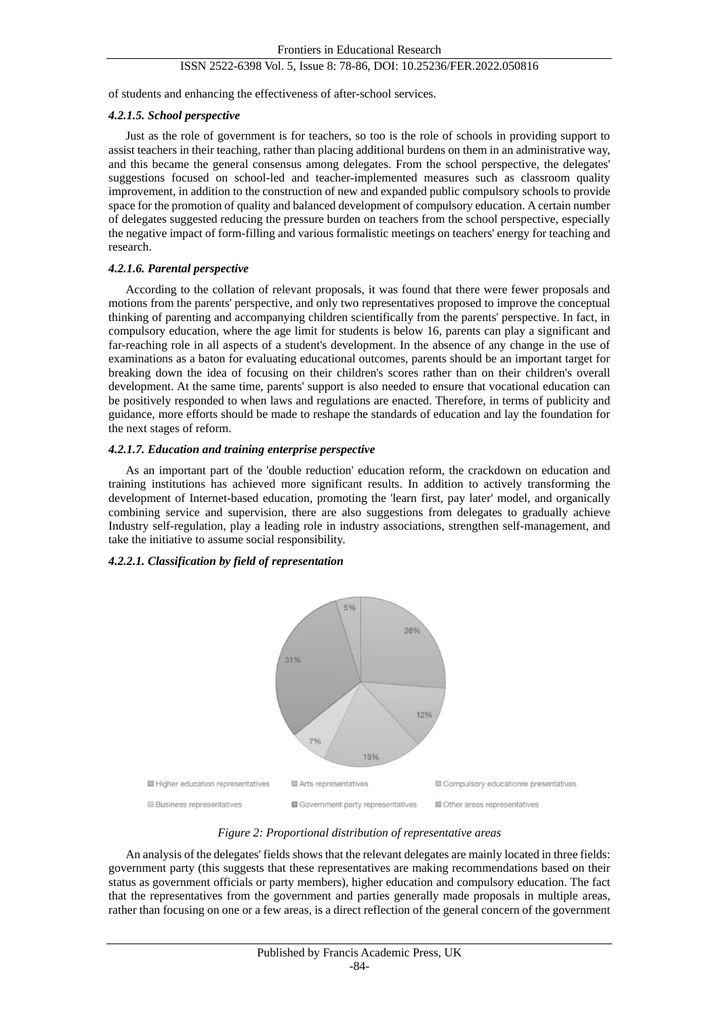of students and enhancing the effectiveness of after-school services.

## *4.2.1.5. School perspective*

Just as the role of government is for teachers, so too is the role of schools in providing support to assist teachers in their teaching, rather than placing additional burdens on them in an administrative way, and this became the general consensus among delegates. From the school perspective, the delegates' suggestions focused on school-led and teacher-implemented measures such as classroom quality improvement, in addition to the construction of new and expanded public compulsory schools to provide space for the promotion of quality and balanced development of compulsory education. A certain number of delegates suggested reducing the pressure burden on teachers from the school perspective, especially the negative impact of form-filling and various formalistic meetings on teachers' energy for teaching and research.

## *4.2.1.6. Parental perspective*

According to the collation of relevant proposals, it was found that there were fewer proposals and motions from the parents' perspective, and only two representatives proposed to improve the conceptual thinking of parenting and accompanying children scientifically from the parents' perspective. In fact, in compulsory education, where the age limit for students is below 16, parents can play a significant and far-reaching role in all aspects of a student's development. In the absence of any change in the use of examinations as a baton for evaluating educational outcomes, parents should be an important target for breaking down the idea of focusing on their children's scores rather than on their children's overall development. At the same time, parents' support is also needed to ensure that vocational education can be positively responded to when laws and regulations are enacted. Therefore, in terms of publicity and guidance, more efforts should be made to reshape the standards of education and lay the foundation for the next stages of reform.

#### *4.2.1.7. Education and training enterprise perspective*

As an important part of the 'double reduction' education reform, the crackdown on education and training institutions has achieved more significant results. In addition to actively transforming the development of Internet-based education, promoting the 'learn first, pay later' model, and organically combining service and supervision, there are also suggestions from delegates to gradually achieve Industry self-regulation, play a leading role in industry associations, strengthen self-management, and take the initiative to assume social responsibility.

## *4.2.2.1. Classification by field of representation*



*Figure 2: Proportional distribution of representative areas*

An analysis of the delegates' fields shows that the relevant delegates are mainly located in three fields: government party (this suggests that these representatives are making recommendations based on their status as government officials or party members), higher education and compulsory education. The fact that the representatives from the government and parties generally made proposals in multiple areas, rather than focusing on one or a few areas, is a direct reflection of the general concern of the government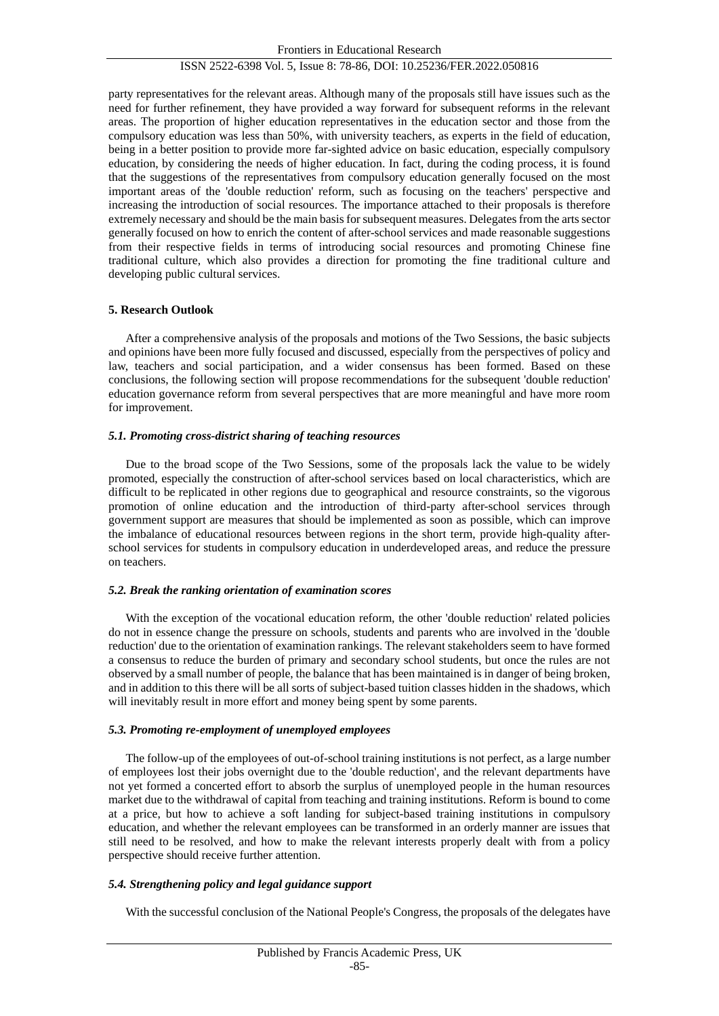party representatives for the relevant areas. Although many of the proposals still have issues such as the need for further refinement, they have provided a way forward for subsequent reforms in the relevant areas. The proportion of higher education representatives in the education sector and those from the compulsory education was less than 50%, with university teachers, as experts in the field of education, being in a better position to provide more far-sighted advice on basic education, especially compulsory education, by considering the needs of higher education. In fact, during the coding process, it is found that the suggestions of the representatives from compulsory education generally focused on the most important areas of the 'double reduction' reform, such as focusing on the teachers' perspective and increasing the introduction of social resources. The importance attached to their proposals is therefore extremely necessary and should be the main basis for subsequent measures. Delegates from the arts sector generally focused on how to enrich the content of after-school services and made reasonable suggestions from their respective fields in terms of introducing social resources and promoting Chinese fine traditional culture, which also provides a direction for promoting the fine traditional culture and developing public cultural services.

#### **5. Research Outlook**

After a comprehensive analysis of the proposals and motions of the Two Sessions, the basic subjects and opinions have been more fully focused and discussed, especially from the perspectives of policy and law, teachers and social participation, and a wider consensus has been formed. Based on these conclusions, the following section will propose recommendations for the subsequent 'double reduction' education governance reform from several perspectives that are more meaningful and have more room for improvement.

#### *5.1. Promoting cross-district sharing of teaching resources*

Due to the broad scope of the Two Sessions, some of the proposals lack the value to be widely promoted, especially the construction of after-school services based on local characteristics, which are difficult to be replicated in other regions due to geographical and resource constraints, so the vigorous promotion of online education and the introduction of third-party after-school services through government support are measures that should be implemented as soon as possible, which can improve the imbalance of educational resources between regions in the short term, provide high-quality afterschool services for students in compulsory education in underdeveloped areas, and reduce the pressure on teachers.

#### *5.2. Break the ranking orientation of examination scores*

With the exception of the vocational education reform, the other 'double reduction' related policies do not in essence change the pressure on schools, students and parents who are involved in the 'double reduction' due to the orientation of examination rankings. The relevant stakeholders seem to have formed a consensus to reduce the burden of primary and secondary school students, but once the rules are not observed by a small number of people, the balance that has been maintained is in danger of being broken, and in addition to this there will be all sorts of subject-based tuition classes hidden in the shadows, which will inevitably result in more effort and money being spent by some parents.

## *5.3. Promoting re-employment of unemployed employees*

The follow-up of the employees of out-of-school training institutions is not perfect, as a large number of employees lost their jobs overnight due to the 'double reduction', and the relevant departments have not yet formed a concerted effort to absorb the surplus of unemployed people in the human resources market due to the withdrawal of capital from teaching and training institutions. Reform is bound to come at a price, but how to achieve a soft landing for subject-based training institutions in compulsory education, and whether the relevant employees can be transformed in an orderly manner are issues that still need to be resolved, and how to make the relevant interests properly dealt with from a policy perspective should receive further attention.

## *5.4. Strengthening policy and legal guidance support*

With the successful conclusion of the National People's Congress, the proposals of the delegates have